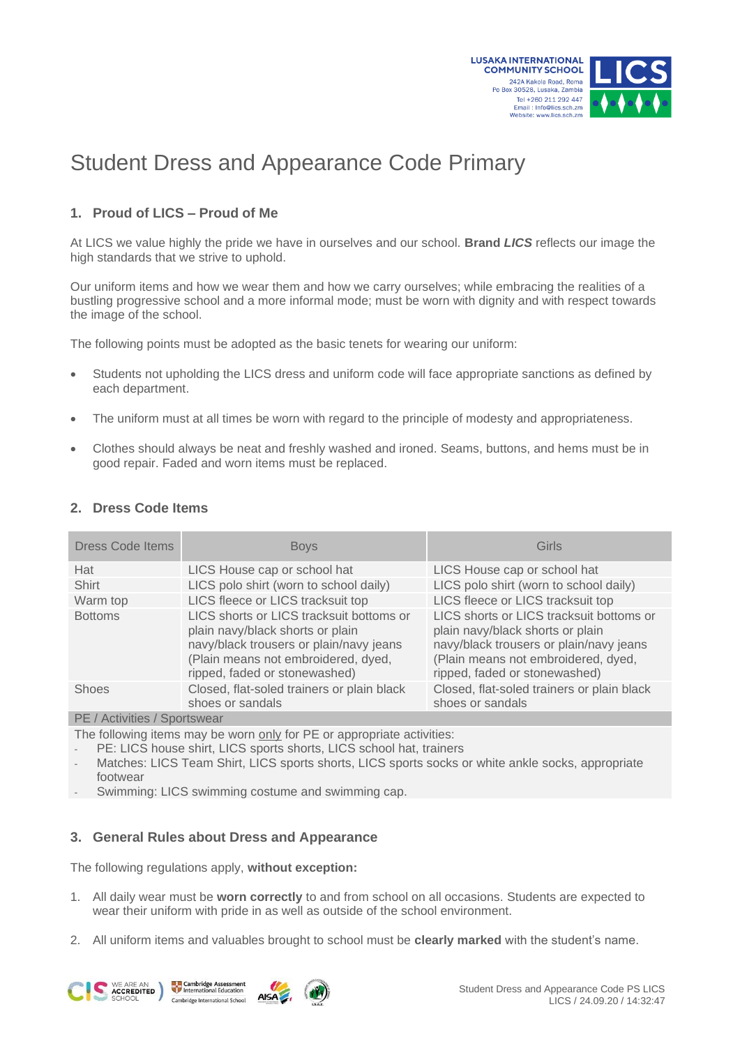

# Student Dress and Appearance Code Primary

## **1. Proud of LICS – Proud of Me**

At LICS we value highly the pride we have in ourselves and our school*.* **Brand** *LICS* reflects our image the high standards that we strive to uphold.

Our uniform items and how we wear them and how we carry ourselves; while embracing the realities of a bustling progressive school and a more informal mode; must be worn with dignity and with respect towards the image of the school.

The following points must be adopted as the basic tenets for wearing our uniform:

- Students not upholding the LICS dress and uniform code will face appropriate sanctions as defined by each department.
- The uniform must at all times be worn with regard to the principle of modesty and appropriateness.
- Clothes should always be neat and freshly washed and ironed. Seams, buttons, and hems must be in good repair. Faded and worn items must be replaced.

### **2. Dress Code Items**

| <b>Dress Code Items</b> | <b>Boys</b>                                                                                                                                                                                     | Girls                                                                                                                                                                                           |
|-------------------------|-------------------------------------------------------------------------------------------------------------------------------------------------------------------------------------------------|-------------------------------------------------------------------------------------------------------------------------------------------------------------------------------------------------|
| Hat                     | LICS House cap or school hat                                                                                                                                                                    | LICS House cap or school hat                                                                                                                                                                    |
| Shirt                   | LICS polo shirt (worn to school daily)                                                                                                                                                          | LICS polo shirt (worn to school daily)                                                                                                                                                          |
| Warm top                | LICS fleece or LICS tracksuit top                                                                                                                                                               | LICS fleece or LICS tracksuit top                                                                                                                                                               |
| <b>Bottoms</b>          | LICS shorts or LICS tracksuit bottoms or<br>plain navy/black shorts or plain<br>navy/black trousers or plain/navy jeans<br>(Plain means not embroidered, dyed,<br>ripped, faded or stonewashed) | LICS shorts or LICS tracksuit bottoms or<br>plain navy/black shorts or plain<br>navy/black trousers or plain/navy jeans<br>(Plain means not embroidered, dyed,<br>ripped, faded or stonewashed) |
| <b>Shoes</b>            | Closed, flat-soled trainers or plain black<br>shoes or sandals                                                                                                                                  | Closed, flat-soled trainers or plain black<br>shoes or sandals                                                                                                                                  |
|                         |                                                                                                                                                                                                 |                                                                                                                                                                                                 |

PE / Activities / Sportswear

The following items may be worn only for PE or appropriate activities:

- PE: LICS house shirt, LICS sports shorts, LICS school hat, trainers

- Matches: LICS Team Shirt, LICS sports shorts, LICS sports socks or white ankle socks, appropriate footwear
- Swimming: LICS swimming costume and swimming cap.

## **3. General Rules about Dress and Appearance**

The following regulations apply, **without exception:**

- 1. All daily wear must be **worn correctly** to and from school on all occasions. Students are expected to wear their uniform with pride in as well as outside of the school environment.
- 2. All uniform items and valuables brought to school must be **clearly marked** with the student's name.